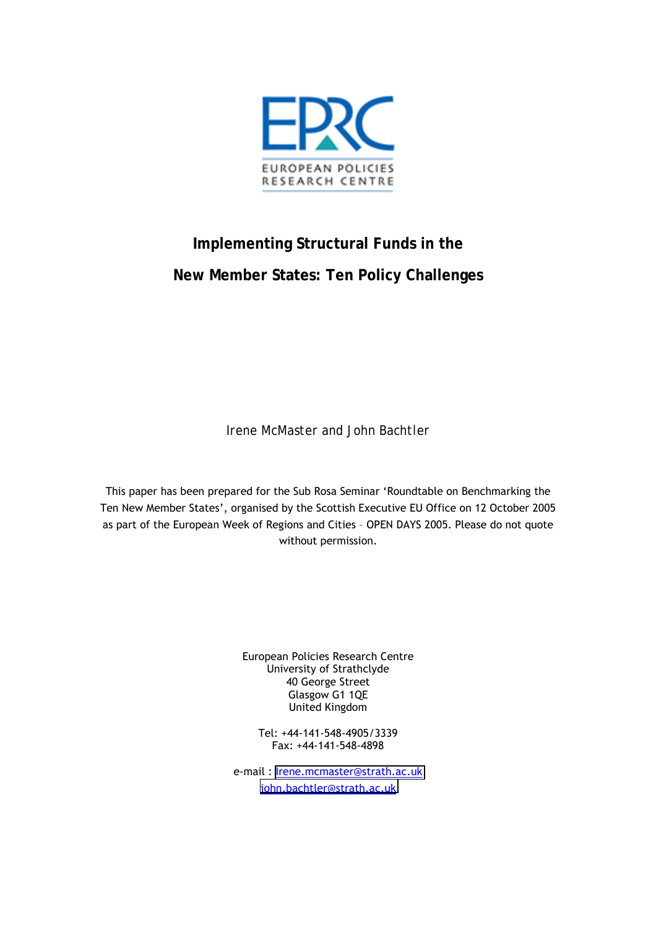

# **Implementing Structural Funds in the New Member States: Ten Policy Challenges**

*Irene McMaster and John Bachtler* 

This paper has been prepared for the Sub Rosa Seminar 'Roundtable on Benchmarking the Ten New Member States', organised by the Scottish Executive EU Office on 12 October 2005 as part of the European Week of Regions and Cities - OPEN DAYS 2005. Please do not quote without permission.

> European Policies Research Centre University of Strathclyde 40 George Street Glasgow G1 1QE United Kingdom

Tel: +44-141-548-4905/3339 Fax: +44-141-548-4898

e-mail : [Irene.mcmaster@strath.ac.uk](mailto:Irene.mcmaster@strath.ac.uk) [john.bachtler@strath.ac.uk](mailto:john.bachtler@strath.ac.uk)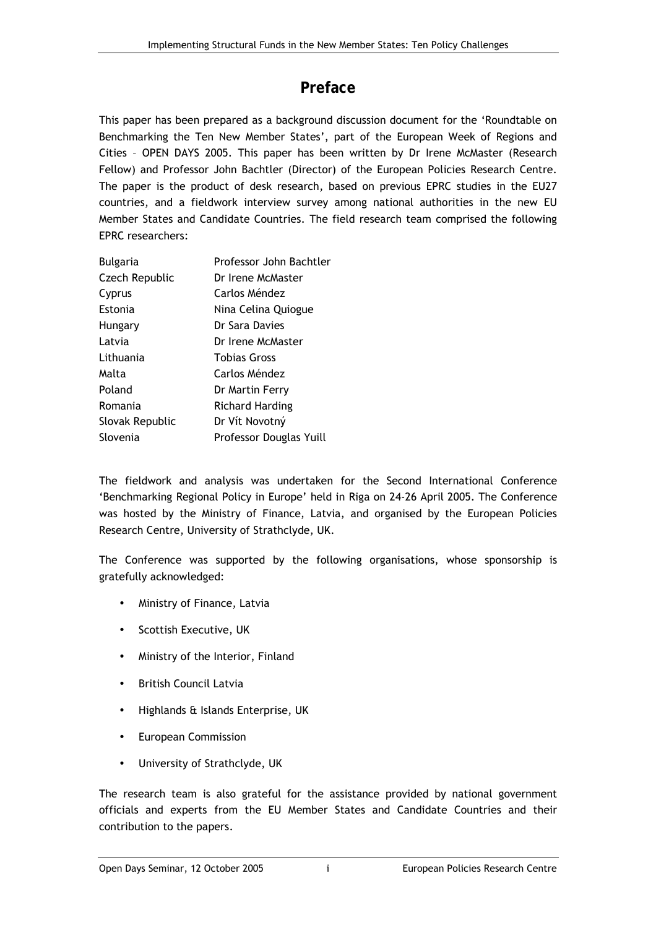## **Preface**

This paper has been prepared as a background discussion document for the 'Roundtable on Benchmarking the Ten New Member States', part of the European Week of Regions and Cities - OPEN DAYS 2005. This paper has been written by Dr Irene McMaster (Research Fellow) and Professor John Bachtler (Director) of the European Policies Research Centre. The paper is the product of desk research, based on previous EPRC studies in the EU27 countries, and a fieldwork interview survey among national authorities in the new EU Member States and Candidate Countries. The field research team comprised the following EPRC researchers:

| <b>Bulgaria</b> | Professor John Bachtler |
|-----------------|-------------------------|
| Czech Republic  | Dr Irene McMaster       |
| Cyprus          | Carlos Méndez           |
| Estonia         | Nina Celina Quiogue     |
| Hungary         | Dr Sara Davies          |
| Latvia          | Dr Irene McMaster       |
| Lithuania       | <b>Tobias Gross</b>     |
| Malta           | Carlos Méndez           |
| Poland          | Dr Martin Ferry         |
| Romania         | <b>Richard Harding</b>  |
| Slovak Republic | Dr Vít Novotný          |
| Slovenia        | Professor Douglas Yuill |

The fieldwork and analysis was undertaken for the Second International Conference 'Benchmarking Regional Policy in Europe' held in Riga on 24-26 April 2005. The Conference was hosted by the Ministry of Finance, Latvia, and organised by the European Policies Research Centre, University of Strathclyde, UK.

The Conference was supported by the following organisations, whose sponsorship is gratefully acknowledged:

- Ministry of Finance, Latvia
- Scottish Executive, UK
- Ministry of the Interior, Finland
- British Council Latvia
- Highlands & Islands Enterprise, UK
- European Commission
- University of Strathclyde, UK

The research team is also grateful for the assistance provided by national government officials and experts from the EU Member States and Candidate Countries and their contribution to the papers.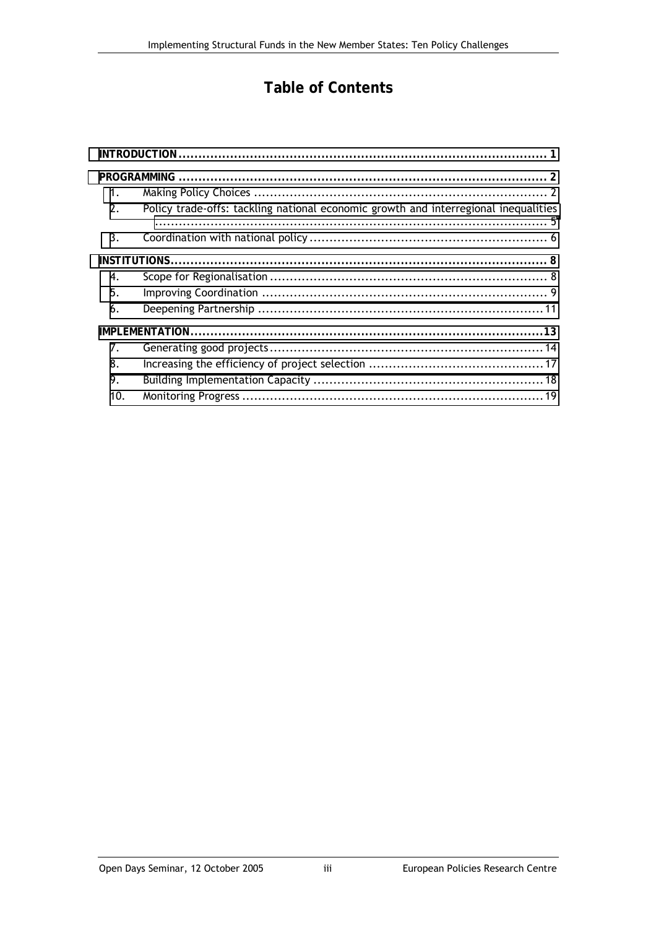## **Table of Contents**

| 1.  |                                                                                     |  |
|-----|-------------------------------------------------------------------------------------|--|
| 2.  | Policy trade-offs: tackling national economic growth and interregional inequalities |  |
| 3.  |                                                                                     |  |
|     |                                                                                     |  |
| 4.  |                                                                                     |  |
| 5.  |                                                                                     |  |
| 6.  |                                                                                     |  |
|     |                                                                                     |  |
| 7.  |                                                                                     |  |
| 8.  |                                                                                     |  |
| 9.  |                                                                                     |  |
| 10. |                                                                                     |  |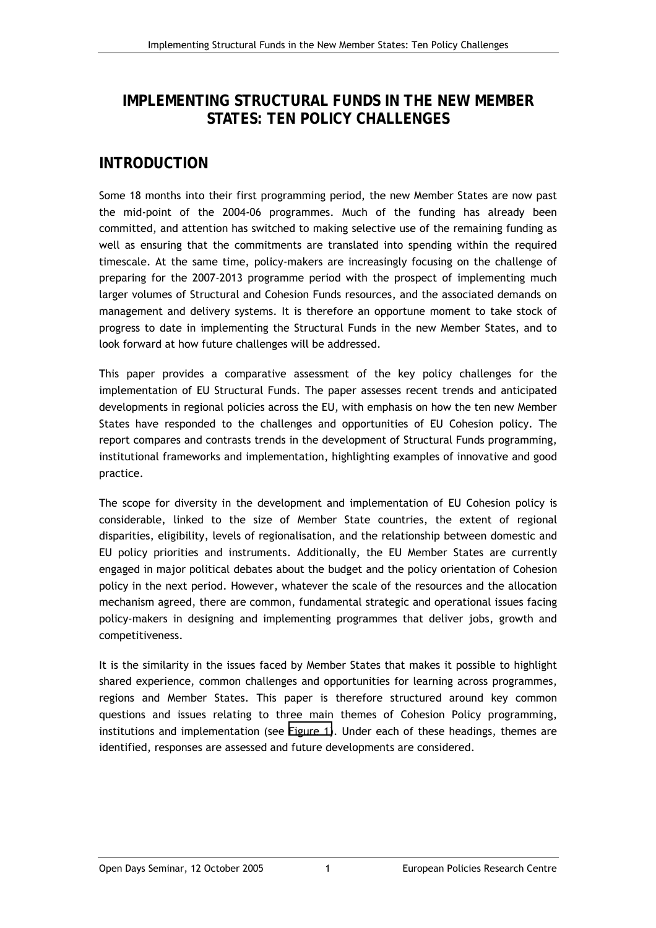## <span id="page-6-0"></span>**IMPLEMENTING STRUCTURAL FUNDS IN THE NEW MEMBER STATES: TEN POLICY CHALLENGES**

## **INTRODUCTION**

Some 18 months into their first programming period, the new Member States are now past the mid-point of the 2004-06 programmes. Much of the funding has already been committed, and attention has switched to making selective use of the remaining funding as well as ensuring that the commitments are translated into spending within the required timescale. At the same time, policy-makers are increasingly focusing on the challenge of preparing for the 2007-2013 programme period with the prospect of implementing much larger volumes of Structural and Cohesion Funds resources, and the associated demands on management and delivery systems. It is therefore an opportune moment to take stock of progress to date in implementing the Structural Funds in the new Member States, and to look forward at how future challenges will be addressed.

This paper provides a comparative assessment of the key policy challenges for the implementation of EU Structural Funds. The paper assesses recent trends and anticipated developments in regional policies across the EU, with emphasis on how the ten new Member States have responded to the challenges and opportunities of EU Cohesion policy. The report compares and contrasts trends in the development of Structural Funds programming, institutional frameworks and implementation, highlighting examples of innovative and good practice.

The scope for diversity in the development and implementation of EU Cohesion policy is considerable, linked to the size of Member State countries, the extent of regional disparities, eligibility, levels of regionalisation, and the relationship between domestic and EU policy priorities and instruments. Additionally, the EU Member States are currently engaged in major political debates about the budget and the policy orientation of Cohesion policy in the next period. However, whatever the scale of the resources and the allocation mechanism agreed, there are common, fundamental strategic and operational issues facing policy-makers in designing and implementing programmes that deliver jobs, growth and competitiveness.

It is the similarity in the issues faced by Member States that makes it possible to highlight shared experience, common challenges and opportunities for learning across programmes, regions and Member States. This paper is therefore structured around key common questions and issues relating to three main themes of Cohesion Policy programming, institutions and implementation (see [Figure 1\)](#page-7-0). Under each of these headings, themes are identified, responses are assessed and future developments are considered.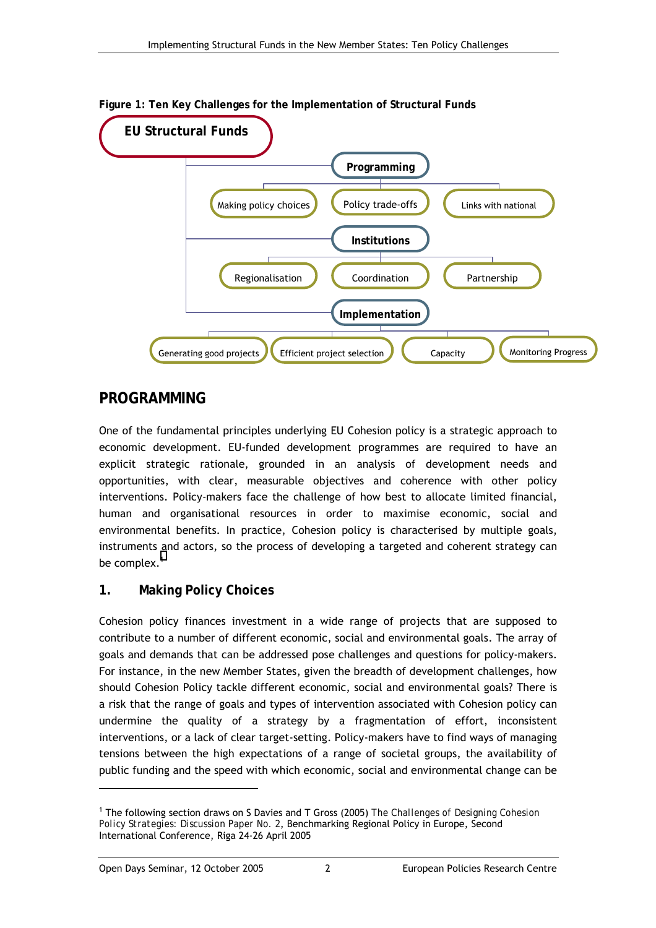

<span id="page-7-0"></span>**Figure 1: Ten Key Challenges for the Implementation of Structural Funds** 

## **PROGRAMMING**

One of the fundamental principles underlying EU Cohesion policy is a strategic approach to economic development. EU-funded development programmes are required to have an explicit strategic rationale, grounded in an analysis of development needs and opportunities, with clear, measurable objectives and coherence with other policy interventions. Policy-makers face the challenge of how best to allocate limited financial, human and organisational resources in order to maximise economic, social and environmental benefits. In practice, Cohesion policy is characterised by multiple goals, instruments and actors, so the process of developing a targeted and coherent strategy can be complex. $<sup>1</sup>$ </sup>

## **1. Making Policy Choices**

Cohesion policy finances investment in a wide range of projects that are supposed to contribute to a number of different economic, social and environmental goals. The array of goals and demands that can be addressed pose challenges and questions for policy-makers. For instance, in the new Member States, given the breadth of development challenges, how should Cohesion Policy tackle different economic, social and environmental goals? There is a risk that the range of goals and types of intervention associated with Cohesion policy can undermine the quality of a strategy by a fragmentation of effort, inconsistent interventions, or a lack of clear target-setting. Policy-makers have to find ways of managing tensions between the high expectations of a range of societal groups, the availability of public funding and the speed with which economic, social and environmental change can be

<sup>1</sup> The following section draws on S Davies and T Gross (2005) *The Challenges of Designing Cohesion Policy Strategies: Discussion Paper No. 2*, Benchmarking Regional Policy in Europe, Second International Conference, Riga 24-26 April 2005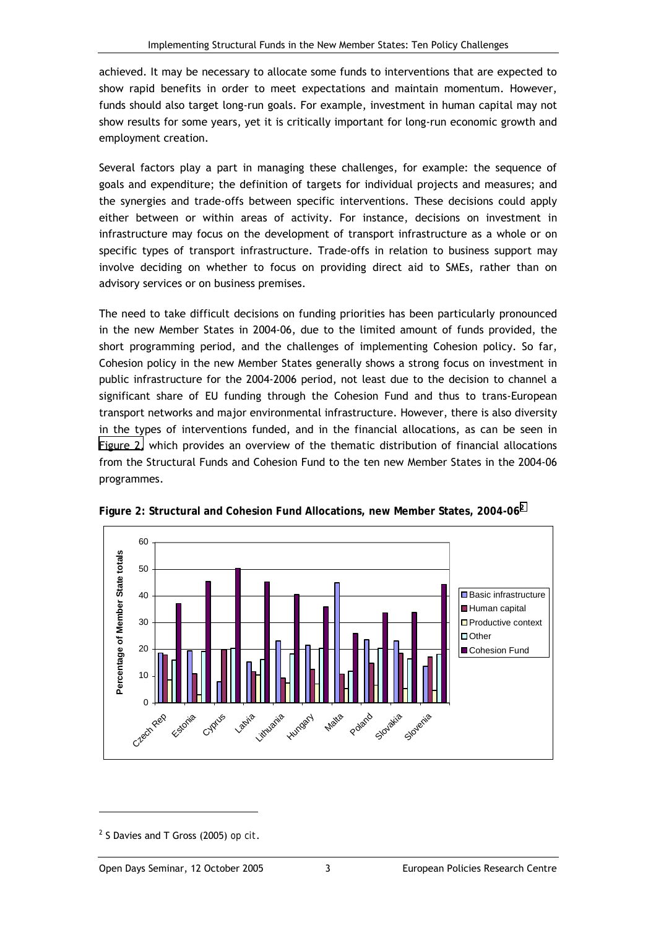achieved. It may be necessary to allocate some funds to interventions that are expected to show rapid benefits in order to meet expectations and maintain momentum. However, funds should also target long-run goals. For example, investment in human capital may not show results for some years, yet it is critically important for long-run economic growth and employment creation.

Several factors play a part in managing these challenges, for example: the sequence of goals and expenditure; the definition of targets for individual projects and measures; and the synergies and trade-offs between specific interventions. These decisions could apply either between or within areas of activity. For instance, decisions on investment in infrastructure may focus on the development of transport infrastructure as a whole or on specific types of transport infrastructure. Trade-offs in relation to business support may involve deciding on whether to focus on providing direct aid to SMEs, rather than on advisory services or on business premises.

The need to take difficult decisions on funding priorities has been particularly pronounced in the new Member States in 2004-06, due to the limited amount of funds provided, the short programming period, and the challenges of implementing Cohesion policy. So far, Cohesion policy in the new Member States generally shows a strong focus on investment in public infrastructure for the 2004-2006 period, not least due to the decision to channel a significant share of EU funding through the Cohesion Fund and thus to trans-European transport networks and major environmental infrastructure. However, there is also diversity in the types of interventions funded, and in the financial allocations, as can be seen in Figure 2, which provides an overview of the thematic distribution of financial allocations from the Structural Funds and Cohesion Fund to the ten new Member States in the 2004-06 programmes.



**Figure 2: Structural and Cohesion Fund Allocations, new Member States, 2004-06<sup>2</sup>**

<sup>2</sup> S Davies and T Gross (2005) *op cit*.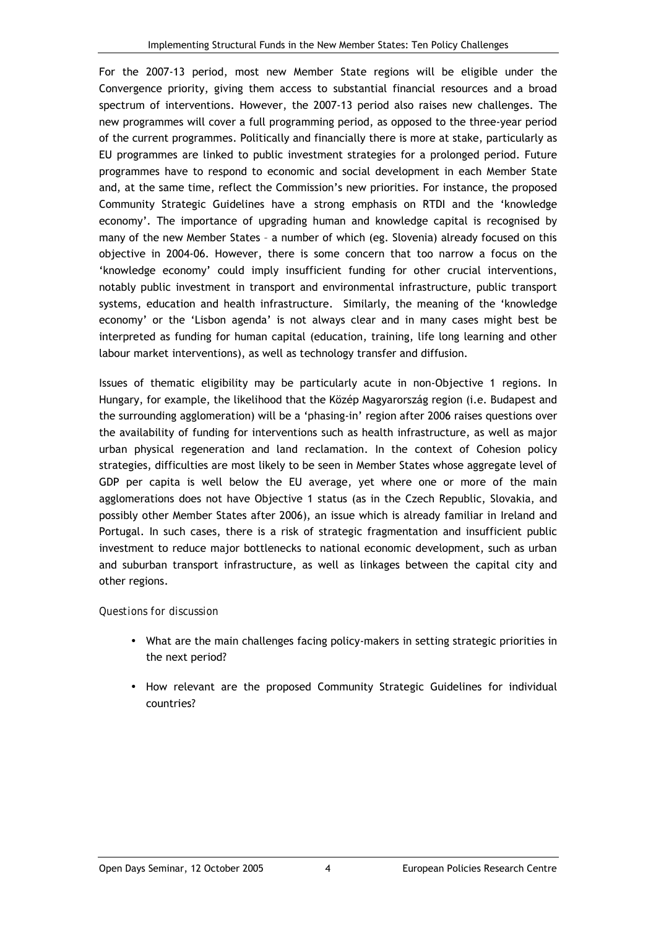For the 2007-13 period, most new Member State regions will be eligible under the Convergence priority, giving them access to substantial financial resources and a broad spectrum of interventions. However, the 2007-13 period also raises new challenges. The new programmes will cover a full programming period, as opposed to the three-year period of the current programmes. Politically and financially there is more at stake, particularly as EU programmes are linked to public investment strategies for a prolonged period. Future programmes have to respond to economic and social development in each Member State and, at the same time, reflect the Commission's new priorities. For instance, the proposed Community Strategic Guidelines have a strong emphasis on RTDI and the ëknowledge economy'. The importance of upgrading human and knowledge capital is recognised by many of the new Member States - a number of which (eg. Slovenia) already focused on this objective in 2004-06. However, there is some concern that too narrow a focus on the ëknowledge economyí could imply insufficient funding for other crucial interventions, notably public investment in transport and environmental infrastructure, public transport systems, education and health infrastructure. Similarly, the meaning of the 'knowledge economy' or the 'Lisbon agenda' is not always clear and in many cases might best be interpreted as funding for human capital (education, training, life long learning and other labour market interventions), as well as technology transfer and diffusion.

Issues of thematic eligibility may be particularly acute in non-Objective 1 regions. In Hungary, for example, the likelihood that the Közép Magyarország region (i.e. Budapest and the surrounding agglomeration) will be a 'phasing-in' region after 2006 raises questions over the availability of funding for interventions such as health infrastructure, as well as major urban physical regeneration and land reclamation. In the context of Cohesion policy strategies, difficulties are most likely to be seen in Member States whose aggregate level of GDP per capita is well below the EU average, yet where one or more of the main agglomerations does not have Objective 1 status (as in the Czech Republic, Slovakia, and possibly other Member States after 2006), an issue which is already familiar in Ireland and Portugal. In such cases, there is a risk of strategic fragmentation and insufficient public investment to reduce major bottlenecks to national economic development, such as urban and suburban transport infrastructure, as well as linkages between the capital city and other regions.

- What are the main challenges facing policy-makers in setting strategic priorities in the next period?
- How relevant are the proposed Community Strategic Guidelines for individual countries?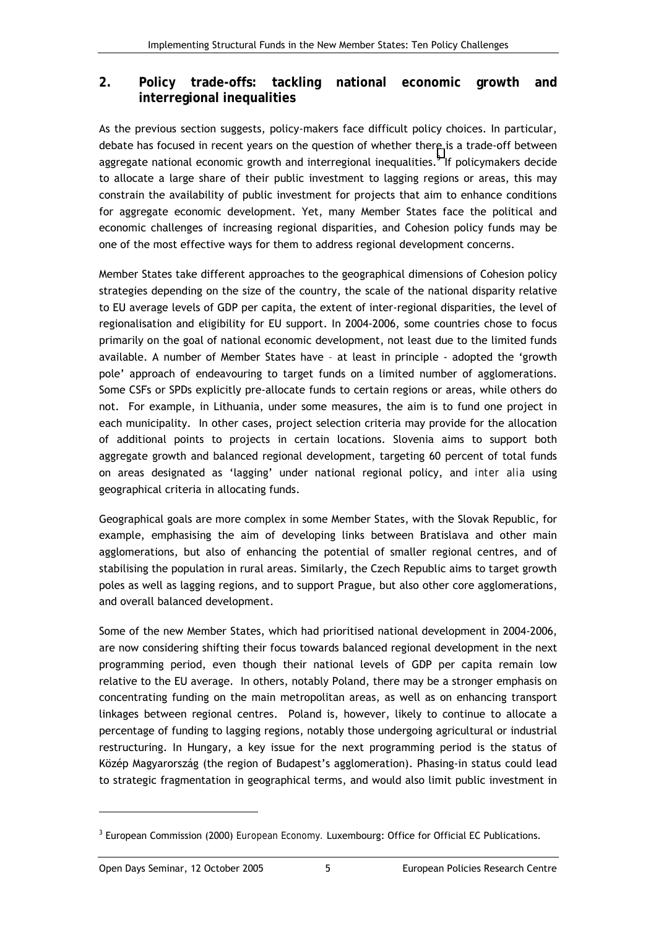### <span id="page-10-0"></span>**2. Policy trade-offs: tackling national economic growth and interregional inequalities**

As the previous section suggests, policy-makers face difficult policy choices. In particular, debate has focused in recent years on the question of whether there is a trade-off between aggregate national economic growth and interregional inequalities.<sup>3</sup> If policymakers decide to allocate a large share of their public investment to lagging regions or areas, this may constrain the availability of public investment for projects that aim to enhance conditions for aggregate economic development. Yet, many Member States face the political and economic challenges of increasing regional disparities, and Cohesion policy funds may be one of the most effective ways for them to address regional development concerns.

Member States take different approaches to the geographical dimensions of Cohesion policy strategies depending on the size of the country, the scale of the national disparity relative to EU average levels of GDP per capita, the extent of inter-regional disparities, the level of regionalisation and eligibility for EU support. In 2004-2006, some countries chose to focus primarily on the goal of national economic development, not least due to the limited funds available. A number of Member States have - at least in principle - adopted the 'growth pole' approach of endeavouring to target funds on a limited number of agglomerations. Some CSFs or SPDs explicitly pre-allocate funds to certain regions or areas, while others do not. For example, in Lithuania, under some measures, the aim is to fund one project in each municipality. In other cases, project selection criteria may provide for the allocation of additional points to projects in certain locations. Slovenia aims to support both aggregate growth and balanced regional development, targeting 60 percent of total funds on areas designated as 'lagging' under national regional policy, and *inter alia* using geographical criteria in allocating funds.

Geographical goals are more complex in some Member States, with the Slovak Republic, for example, emphasising the aim of developing links between Bratislava and other main agglomerations, but also of enhancing the potential of smaller regional centres, and of stabilising the population in rural areas. Similarly, the Czech Republic aims to target growth poles as well as lagging regions, and to support Prague, but also other core agglomerations, and overall balanced development.

Some of the new Member States, which had prioritised national development in 2004-2006, are now considering shifting their focus towards balanced regional development in the next programming period, even though their national levels of GDP per capita remain low relative to the EU average. In others, notably Poland, there may be a stronger emphasis on concentrating funding on the main metropolitan areas, as well as on enhancing transport linkages between regional centres. Poland is, however, likely to continue to allocate a percentage of funding to lagging regions, notably those undergoing agricultural or industrial restructuring. In Hungary, a key issue for the next programming period is the status of Közép Magyarország (the region of Budapest's agglomeration). Phasing-in status could lead to strategic fragmentation in geographical terms, and would also limit public investment in

l

<sup>3</sup> European Commission (2000) *European Economy.* Luxembourg: Office for Official EC Publications.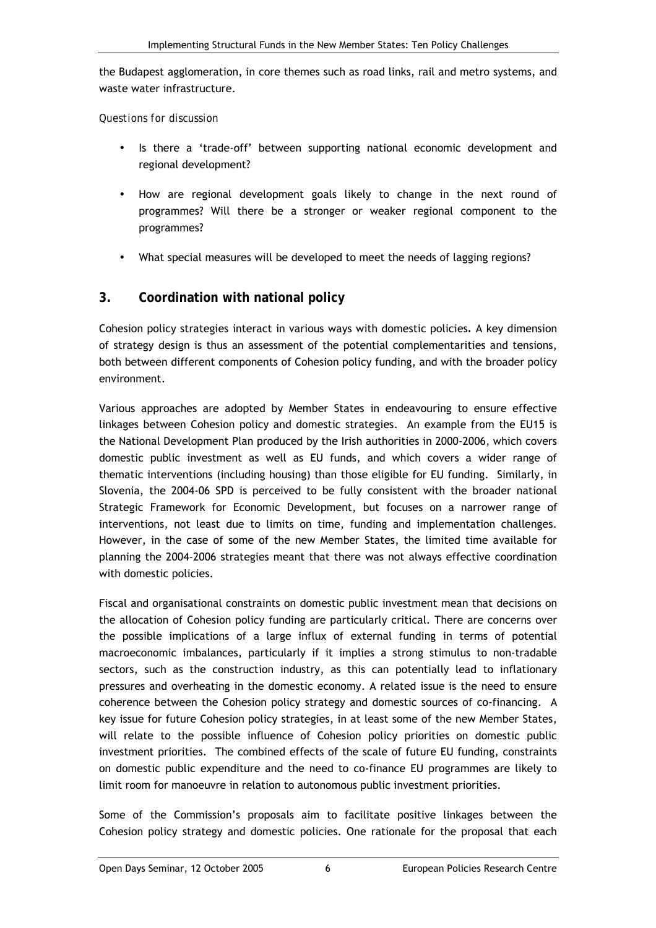<span id="page-11-0"></span>the Budapest agglomeration, in core themes such as road links, rail and metro systems, and waste water infrastructure.

*Questions for discussion* 

- Is there a 'trade-off' between supporting national economic development and regional development?
- How are regional development goals likely to change in the next round of programmes? Will there be a stronger or weaker regional component to the programmes?
- What special measures will be developed to meet the needs of lagging regions?

### **3. Coordination with national policy**

Cohesion policy strategies interact in various ways with domestic policies*.* A key dimension of strategy design is thus an assessment of the potential complementarities and tensions, both between different components of Cohesion policy funding, and with the broader policy environment.

Various approaches are adopted by Member States in endeavouring to ensure effective linkages between Cohesion policy and domestic strategies. An example from the EU15 is the National Development Plan produced by the Irish authorities in 2000-2006, which covers domestic public investment as well as EU funds, and which covers a wider range of thematic interventions (including housing) than those eligible for EU funding. Similarly, in Slovenia, the 2004-06 SPD is perceived to be fully consistent with the broader national Strategic Framework for Economic Development, but focuses on a narrower range of interventions, not least due to limits on time, funding and implementation challenges. However, in the case of some of the new Member States, the limited time available for planning the 2004-2006 strategies meant that there was not always effective coordination with domestic policies.

Fiscal and organisational constraints on domestic public investment mean that decisions on the allocation of Cohesion policy funding are particularly critical. There are concerns over the possible implications of a large influx of external funding in terms of potential macroeconomic imbalances, particularly if it implies a strong stimulus to non-tradable sectors, such as the construction industry, as this can potentially lead to inflationary pressures and overheating in the domestic economy. A related issue is the need to ensure coherence between the Cohesion policy strategy and domestic sources of co-financing. A key issue for future Cohesion policy strategies, in at least some of the new Member States, will relate to the possible influence of Cohesion policy priorities on domestic public investment priorities. The combined effects of the scale of future EU funding, constraints on domestic public expenditure and the need to co-finance EU programmes are likely to limit room for manoeuvre in relation to autonomous public investment priorities.

Some of the Commission's proposals aim to facilitate positive linkages between the Cohesion policy strategy and domestic policies. One rationale for the proposal that each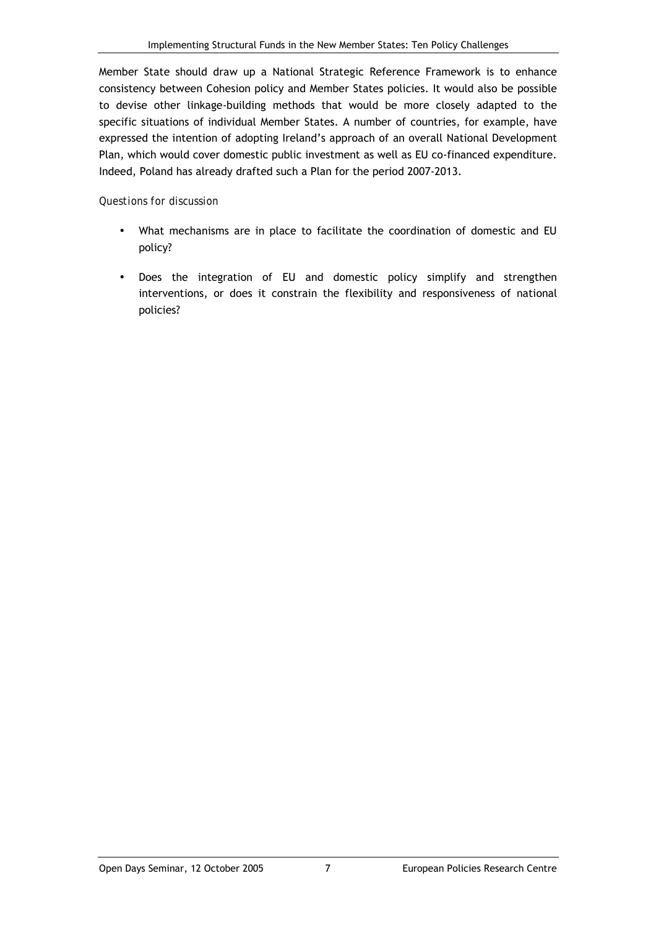Member State should draw up a National Strategic Reference Framework is to enhance consistency between Cohesion policy and Member States policies. It would also be possible to devise other linkage-building methods that would be more closely adapted to the specific situations of individual Member States. A number of countries, for example, have expressed the intention of adopting Ireland's approach of an overall National Development Plan, which would cover domestic public investment as well as EU co-financed expenditure. Indeed, Poland has already drafted such a Plan for the period 2007-2013.

- What mechanisms are in place to facilitate the coordination of domestic and EU policy?
- Does the integration of EU and domestic policy simplify and strengthen interventions, or does it constrain the flexibility and responsiveness of national policies?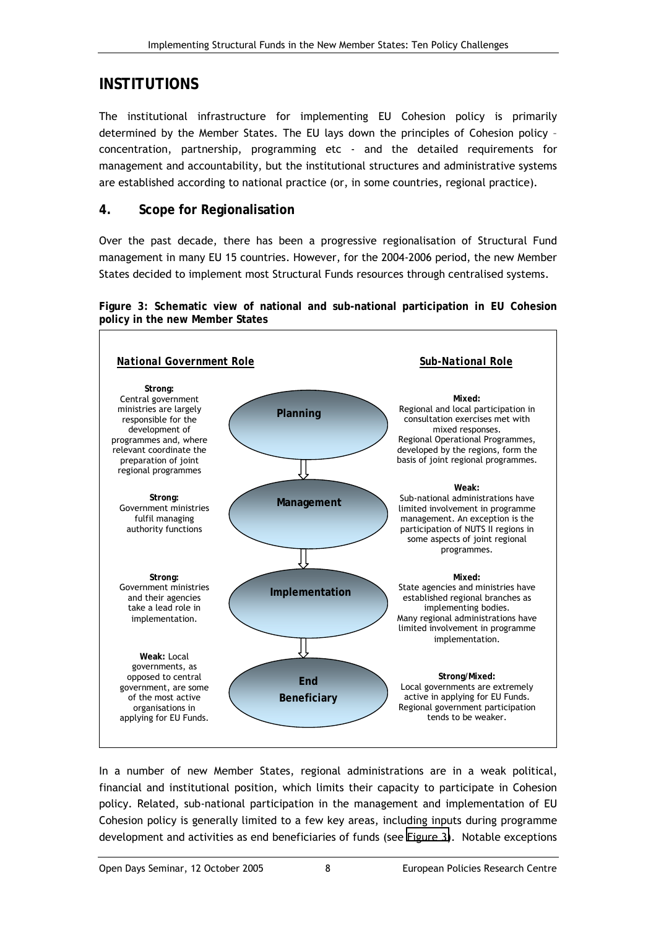## <span id="page-13-0"></span>**INSTITUTIONS**

The institutional infrastructure for implementing EU Cohesion policy is primarily determined by the Member States. The EU lays down the principles of Cohesion policy concentration, partnership, programming etc - and the detailed requirements for management and accountability, but the institutional structures and administrative systems are established according to national practice (or, in some countries, regional practice).

## **4. Scope for Regionalisation**

Over the past decade, there has been a progressive regionalisation of Structural Fund management in many EU 15 countries. However, for the 2004-2006 period, the new Member States decided to implement most Structural Funds resources through centralised systems.

**Figure 3: Schematic view of national and sub-national participation in EU Cohesion policy in the new Member States** 



In a number of new Member States, regional administrations are in a weak political, financial and institutional position, which limits their capacity to participate in Cohesion policy. Related, sub-national participation in the management and implementation of EU Cohesion policy is generally limited to a few key areas, including inputs during programme development and activities as end beneficiaries of funds (see Figure 3). Notable exceptions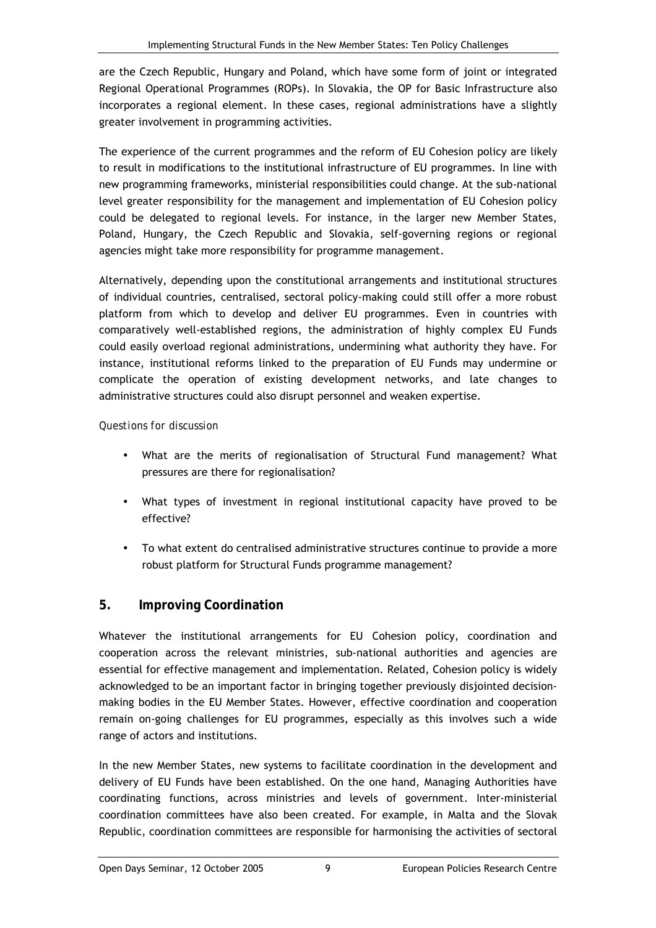<span id="page-14-0"></span>are the Czech Republic, Hungary and Poland, which have some form of joint or integrated Regional Operational Programmes (ROPs). In Slovakia, the OP for Basic Infrastructure also incorporates a regional element. In these cases, regional administrations have a slightly greater involvement in programming activities.

The experience of the current programmes and the reform of EU Cohesion policy are likely to result in modifications to the institutional infrastructure of EU programmes. In line with new programming frameworks, ministerial responsibilities could change. At the sub-national level greater responsibility for the management and implementation of EU Cohesion policy could be delegated to regional levels. For instance, in the larger new Member States, Poland, Hungary, the Czech Republic and Slovakia, self-governing regions or regional agencies might take more responsibility for programme management.

Alternatively, depending upon the constitutional arrangements and institutional structures of individual countries, centralised, sectoral policy-making could still offer a more robust platform from which to develop and deliver EU programmes. Even in countries with comparatively well-established regions, the administration of highly complex EU Funds could easily overload regional administrations, undermining what authority they have. For instance, institutional reforms linked to the preparation of EU Funds may undermine or complicate the operation of existing development networks, and late changes to administrative structures could also disrupt personnel and weaken expertise.

#### *Questions for discussion*

- What are the merits of regionalisation of Structural Fund management? What pressures are there for regionalisation?
- What types of investment in regional institutional capacity have proved to be effective?
- To what extent do centralised administrative structures continue to provide a more robust platform for Structural Funds programme management?

## **5. Improving Coordination**

Whatever the institutional arrangements for EU Cohesion policy, coordination and cooperation across the relevant ministries, sub-national authorities and agencies are essential for effective management and implementation. Related, Cohesion policy is widely acknowledged to be an important factor in bringing together previously disjointed decisionmaking bodies in the EU Member States. However, effective coordination and cooperation remain on-going challenges for EU programmes, especially as this involves such a wide range of actors and institutions.

In the new Member States, new systems to facilitate coordination in the development and delivery of EU Funds have been established. On the one hand, Managing Authorities have coordinating functions, across ministries and levels of government. Inter-ministerial coordination committees have also been created. For example, in Malta and the Slovak Republic, coordination committees are responsible for harmonising the activities of sectoral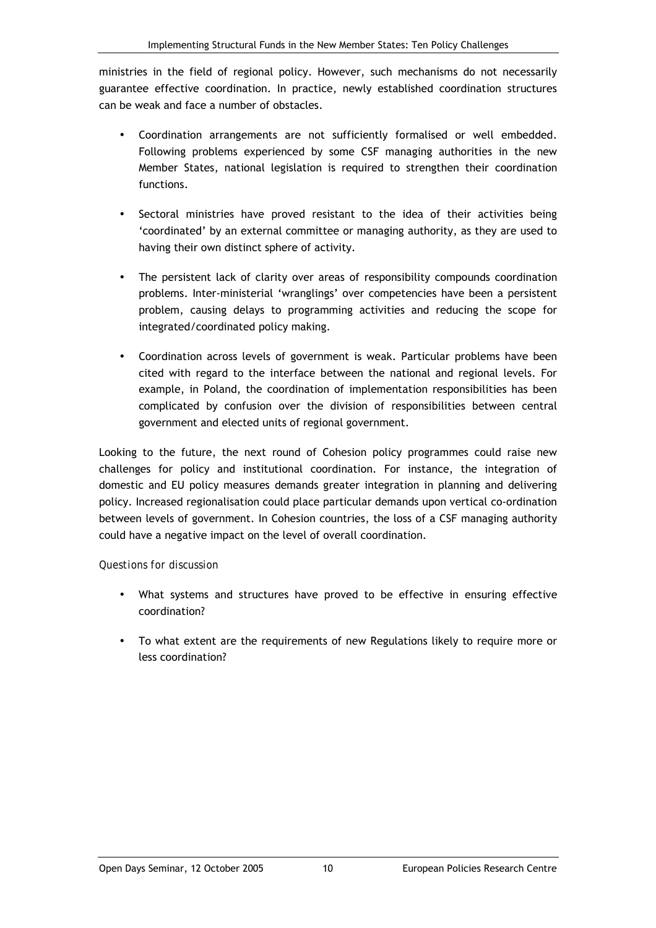ministries in the field of regional policy. However, such mechanisms do not necessarily guarantee effective coordination. In practice, newly established coordination structures can be weak and face a number of obstacles.

- Coordination arrangements are not sufficiently formalised or well embedded. Following problems experienced by some CSF managing authorities in the new Member States, national legislation is required to strengthen their coordination functions.
- Sectoral ministries have proved resistant to the idea of their activities being 'coordinated' by an external committee or managing authority, as they are used to having their own distinct sphere of activity.
- The persistent lack of clarity over areas of responsibility compounds coordination problems. Inter-ministerial 'wranglings' over competencies have been a persistent problem, causing delays to programming activities and reducing the scope for integrated/coordinated policy making.
- Coordination across levels of government is weak. Particular problems have been cited with regard to the interface between the national and regional levels. For example, in Poland, the coordination of implementation responsibilities has been complicated by confusion over the division of responsibilities between central government and elected units of regional government.

Looking to the future, the next round of Cohesion policy programmes could raise new challenges for policy and institutional coordination. For instance, the integration of domestic and EU policy measures demands greater integration in planning and delivering policy. Increased regionalisation could place particular demands upon vertical co-ordination between levels of government. In Cohesion countries, the loss of a CSF managing authority could have a negative impact on the level of overall coordination.

- What systems and structures have proved to be effective in ensuring effective coordination?
- To what extent are the requirements of new Regulations likely to require more or less coordination?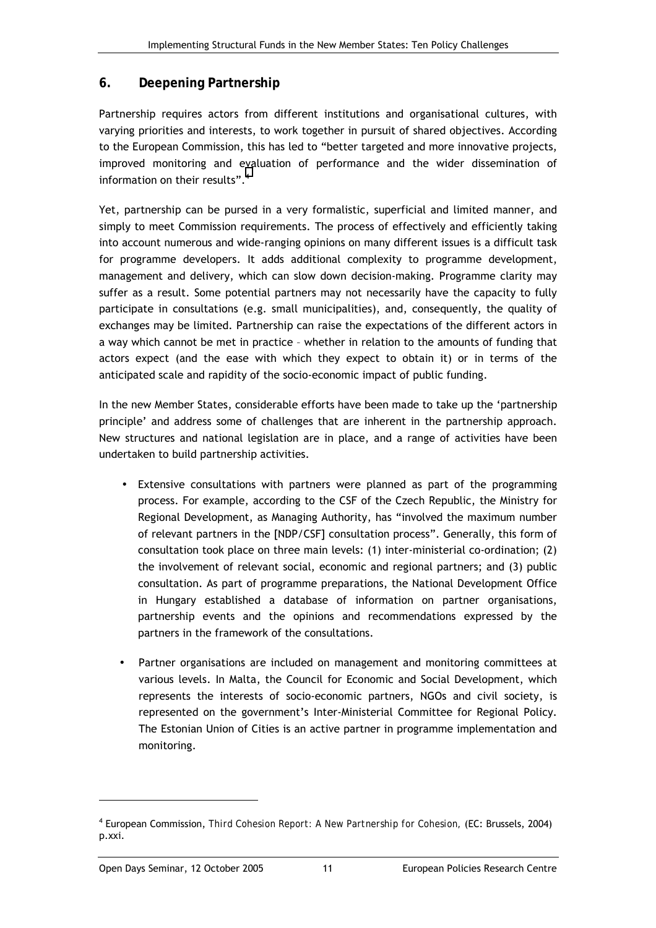### <span id="page-16-0"></span>**6. Deepening Partnership**

Partnership requires actors from different institutions and organisational cultures, with varying priorities and interests, to work together in pursuit of shared objectives. According to the European Commission, this has led to "better targeted and more innovative projects, improved monitoring and evaluation of performance and the wider dissemination of information on their results". $4$ 

Yet, partnership can be pursed in a very formalistic, superficial and limited manner, and simply to meet Commission requirements. The process of effectively and efficiently taking into account numerous and wide-ranging opinions on many different issues is a difficult task for programme developers. It adds additional complexity to programme development, management and delivery, which can slow down decision-making. Programme clarity may suffer as a result. Some potential partners may not necessarily have the capacity to fully participate in consultations (e.g. small municipalities), and, consequently, the quality of exchanges may be limited. Partnership can raise the expectations of the different actors in a way which cannot be met in practice - whether in relation to the amounts of funding that actors expect (and the ease with which they expect to obtain it) or in terms of the anticipated scale and rapidity of the socio-economic impact of public funding.

In the new Member States, considerable efforts have been made to take up the 'partnership principle' and address some of challenges that are inherent in the partnership approach. New structures and national legislation are in place, and a range of activities have been undertaken to build partnership activities.

- Extensive consultations with partners were planned as part of the programming process. For example, according to the CSF of the Czech Republic, the Ministry for Regional Development, as Managing Authority, has "involved the maximum number of relevant partners in the [NDP/CSF] consultation process". Generally, this form of consultation took place on three main levels: (1) inter-ministerial co-ordination; (2) the involvement of relevant social, economic and regional partners; and (3) public consultation. As part of programme preparations, the National Development Office in Hungary established a database of information on partner organisations, partnership events and the opinions and recommendations expressed by the partners in the framework of the consultations.
- Partner organisations are included on management and monitoring committees at various levels. In Malta, the Council for Economic and Social Development, which represents the interests of socio-economic partners, NGOs and civil society, is represented on the government's Inter-Ministerial Committee for Regional Policy. The Estonian Union of Cities is an active partner in programme implementation and monitoring.

<sup>4</sup> European Commission, *Third Cohesion Report: A New Partnership for Cohesion,* (EC: Brussels, 2004) p.xxi.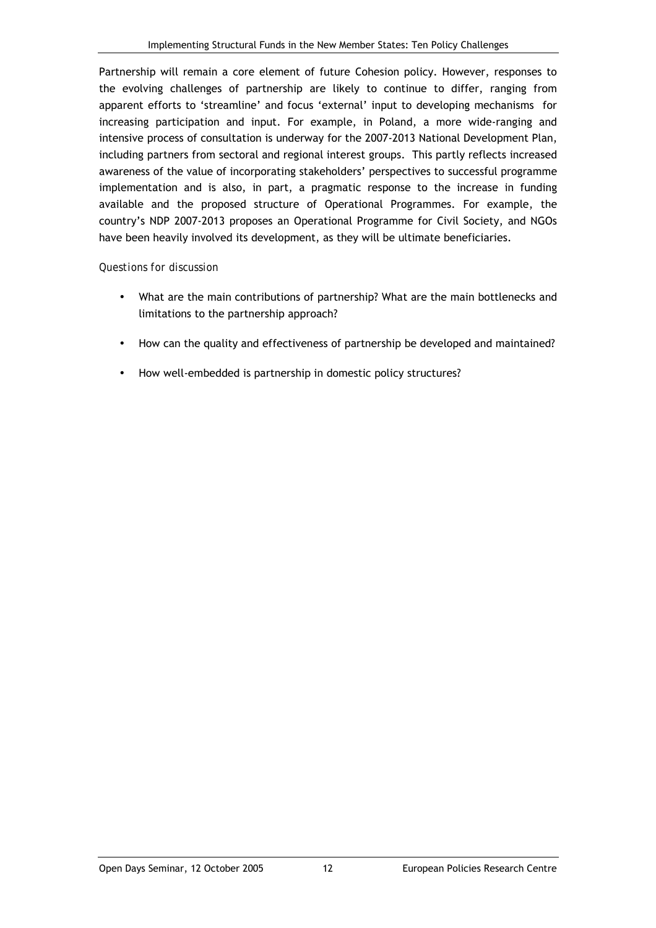Partnership will remain a core element of future Cohesion policy. However, responses to the evolving challenges of partnership are likely to continue to differ, ranging from apparent efforts to 'streamline' and focus 'external' input to developing mechanisms for increasing participation and input. For example, in Poland, a more wide-ranging and intensive process of consultation is underway for the 2007-2013 National Development Plan, including partners from sectoral and regional interest groups. This partly reflects increased awareness of the value of incorporating stakeholders' perspectives to successful programme implementation and is also, in part, a pragmatic response to the increase in funding available and the proposed structure of Operational Programmes. For example, the countryís NDP 2007-2013 proposes an Operational Programme for Civil Society, and NGOs have been heavily involved its development, as they will be ultimate beneficiaries.

- What are the main contributions of partnership? What are the main bottlenecks and limitations to the partnership approach?
- How can the quality and effectiveness of partnership be developed and maintained?
- How well-embedded is partnership in domestic policy structures?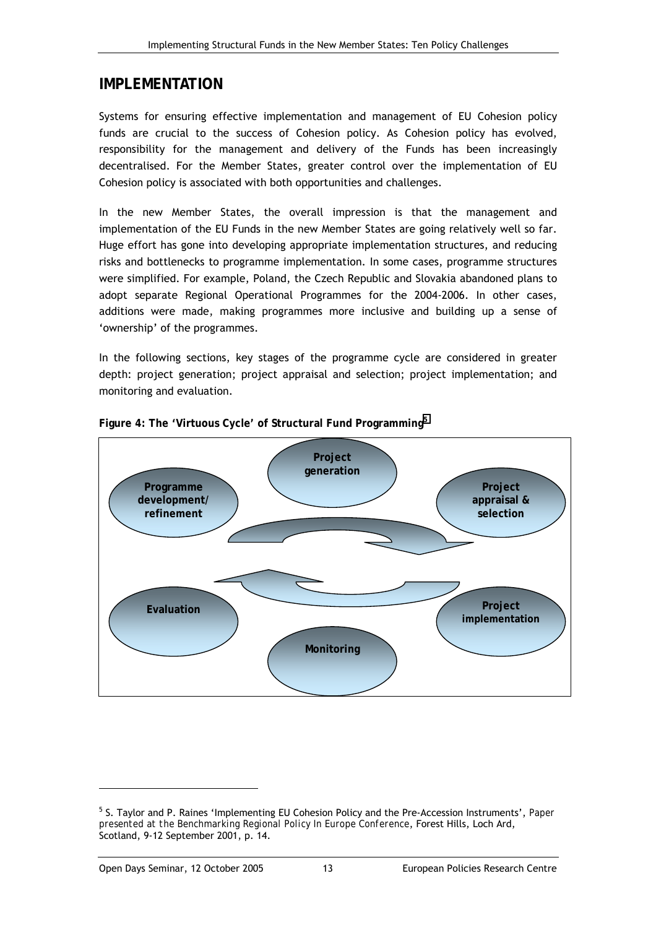## <span id="page-18-0"></span>**IMPLEMENTATION**

Systems for ensuring effective implementation and management of EU Cohesion policy funds are crucial to the success of Cohesion policy. As Cohesion policy has evolved, responsibility for the management and delivery of the Funds has been increasingly decentralised. For the Member States, greater control over the implementation of EU Cohesion policy is associated with both opportunities and challenges.

In the new Member States, the overall impression is that the management and implementation of the EU Funds in the new Member States are going relatively well so far. Huge effort has gone into developing appropriate implementation structures, and reducing risks and bottlenecks to programme implementation. In some cases, programme structures were simplified. For example, Poland, the Czech Republic and Slovakia abandoned plans to adopt separate Regional Operational Programmes for the 2004-2006. In other cases, additions were made, making programmes more inclusive and building up a sense of 'ownership' of the programmes.

In the following sections, key stages of the programme cycle are considered in greater depth: project generation; project appraisal and selection; project implementation; and monitoring and evaluation.



**Figure 4: The 'Virtuous Cycle' of Structural Fund Programming<sup>5</sup>**

<sup>&</sup>lt;sup>5</sup> S. Taylor and P. Raines 'Implementing EU Cohesion Policy and the Pre-Accession Instruments', *Paper presented at the Benchmarking Regional Policy In Europe Conference*, Forest Hills, Loch Ard, Scotland, 9-12 September 2001, p. 14.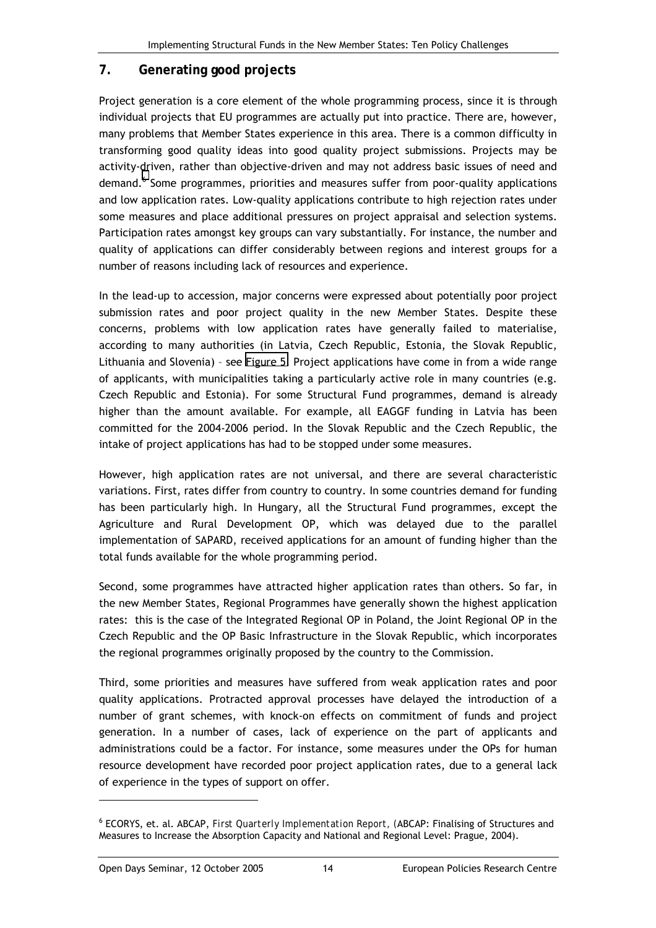## <span id="page-19-0"></span>**7. Generating good projects**

Project generation is a core element of the whole programming process, since it is through individual projects that EU programmes are actually put into practice. There are, however, many problems that Member States experience in this area. There is a common difficulty in transforming good quality ideas into good quality project submissions. Projects may be activity-driven, rather than objective-driven and may not address basic issues of need and demand.<sup>6</sup> Some programmes, priorities and measures suffer from poor-quality applications and low application rates. Low-quality applications contribute to high rejection rates under some measures and place additional pressures on project appraisal and selection systems. Participation rates amongst key groups can vary substantially. For instance, the number and quality of applications can differ considerably between regions and interest groups for a number of reasons including lack of resources and experience.

In the lead-up to accession, major concerns were expressed about potentially poor project submission rates and poor project quality in the new Member States. Despite these concerns, problems with low application rates have generally failed to materialise, according to many authorities (in Latvia, Czech Republic, Estonia, the Slovak Republic, Lithuania and Slovenia) - see [Figure 5.](#page-21-0) Project applications have come in from a wide range of applicants, with municipalities taking a particularly active role in many countries (e.g. Czech Republic and Estonia). For some Structural Fund programmes, demand is already higher than the amount available. For example, all EAGGF funding in Latvia has been committed for the 2004-2006 period. In the Slovak Republic and the Czech Republic, the intake of project applications has had to be stopped under some measures.

However, high application rates are not universal, and there are several characteristic variations. First, rates differ from country to country. In some countries demand for funding has been particularly high. In Hungary, all the Structural Fund programmes, except the Agriculture and Rural Development OP, which was delayed due to the parallel implementation of SAPARD, received applications for an amount of funding higher than the total funds available for the whole programming period.

Second, some programmes have attracted higher application rates than others. So far, in the new Member States, Regional Programmes have generally shown the highest application rates: this is the case of the Integrated Regional OP in Poland, the Joint Regional OP in the Czech Republic and the OP Basic Infrastructure in the Slovak Republic, which incorporates the regional programmes originally proposed by the country to the Commission.

Third, some priorities and measures have suffered from weak application rates and poor quality applications. Protracted approval processes have delayed the introduction of a number of grant schemes, with knock-on effects on commitment of funds and project generation. In a number of cases, lack of experience on the part of applicants and administrations could be a factor. For instance, some measures under the OPs for human resource development have recorded poor project application rates, due to a general lack of experience in the types of support on offer.

<sup>6</sup> ECORYS, et. al. ABCAP, *First Quarterly Implementation Report, (*ABCAP: Finalising of Structures and Measures to Increase the Absorption Capacity and National and Regional Level: Prague, 2004).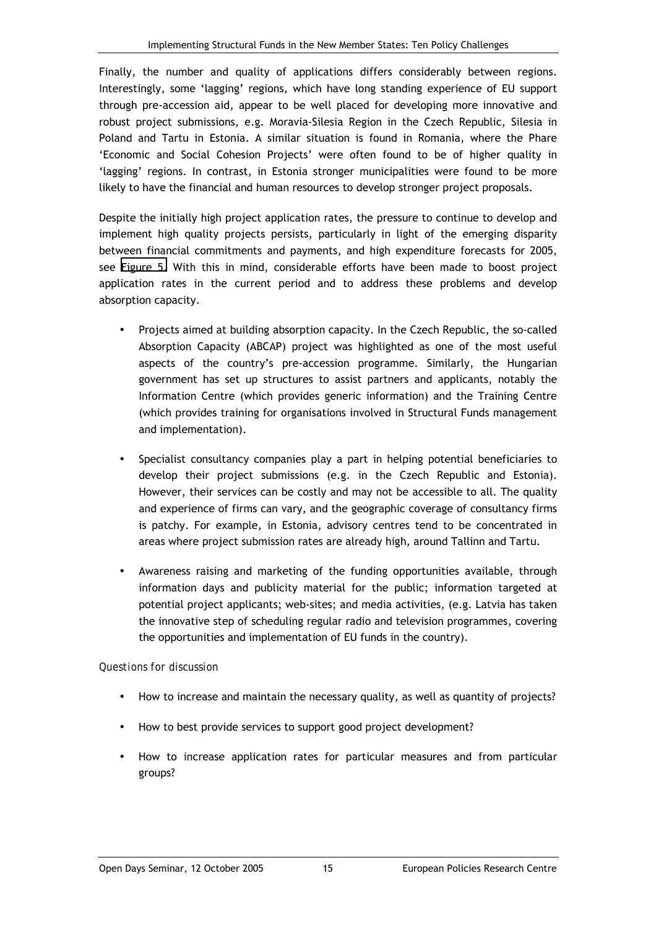Finally, the number and quality of applications differs considerably between regions. Interestingly, some 'lagging' regions, which have long standing experience of EU support through pre-accession aid, appear to be well placed for developing more innovative and robust project submissions, e.g. Moravia-Silesia Region in the Czech Republic, Silesia in Poland and Tartu in Estonia. A similar situation is found in Romania, where the Phare 'Economic and Social Cohesion Projects' were often found to be of higher quality in 'lagging' regions. In contrast, in Estonia stronger municipalities were found to be more likely to have the financial and human resources to develop stronger project proposals.

Despite the initially high project application rates, the pressure to continue to develop and implement high quality projects persists, particularly in light of the emerging disparity between financial commitments and payments, and high expenditure forecasts for 2005, see [Figure 5.](#page-21-0) With this in mind, considerable efforts have been made to boost project application rates in the current period and to address these problems and develop absorption capacity.

- Projects aimed at building absorption capacity. In the Czech Republic, the so-called Absorption Capacity (ABCAP) project was highlighted as one of the most useful aspects of the countryís pre-accession programme. Similarly, the Hungarian government has set up structures to assist partners and applicants, notably the Information Centre (which provides generic information) and the Training Centre (which provides training for organisations involved in Structural Funds management and implementation).
- Specialist consultancy companies play a part in helping potential beneficiaries to develop their project submissions (e.g. in the Czech Republic and Estonia). However, their services can be costly and may not be accessible to all. The quality and experience of firms can vary, and the geographic coverage of consultancy firms is patchy. For example, in Estonia, advisory centres tend to be concentrated in areas where project submission rates are already high, around Tallinn and Tartu.
- Awareness raising and marketing of the funding opportunities available, through information days and publicity material for the public; information targeted at potential project applicants; web-sites; and media activities, (e.g. Latvia has taken the innovative step of scheduling regular radio and television programmes, covering the opportunities and implementation of EU funds in the country).

- How to increase and maintain the necessary quality, as well as quantity of projects?
- How to best provide services to support good project development?
- How to increase application rates for particular measures and from particular groups?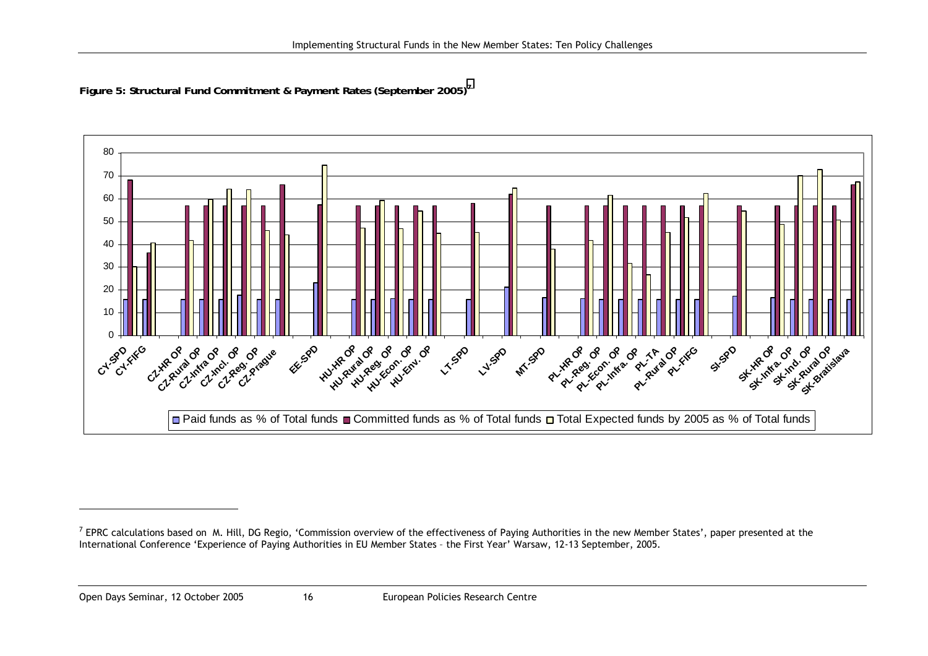<span id="page-21-0"></span>**Figure 5: Structural Fund Commitment & Payment Rates (September 2005)<sup>7</sup>**



Open Days Seminar, 12 October 2005 16 European Policies Research Centre

 $<sup>7</sup>$  EPRC calculations based on M. Hill, DG Regio, 'Commission overview of the effectiveness of Paying Authorities in the new Member States', paper presented at the</sup> International Conference 'Experience of Paying Authorities in EU Member States - the First Year' Warsaw, 12-13 September, 2005.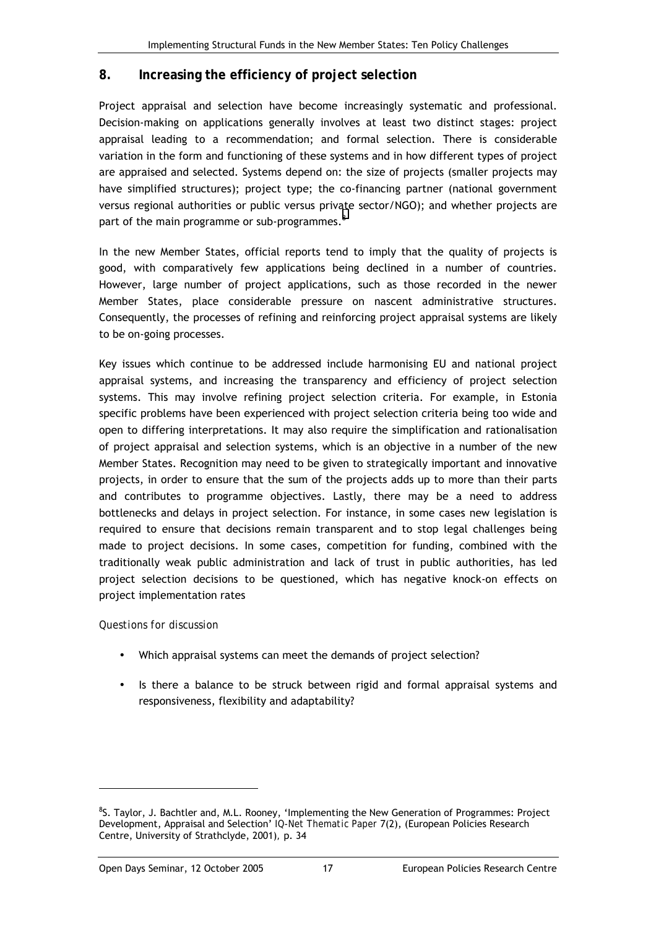#### <span id="page-22-0"></span>**8. Increasing the efficiency of project selection**

Project appraisal and selection have become increasingly systematic and professional. Decision-making on applications generally involves at least two distinct stages: project appraisal leading to a recommendation; and formal selection. There is considerable variation in the form and functioning of these systems and in how different types of project are appraised and selected. Systems depend on: the size of projects (smaller projects may have simplified structures); project type; the co-financing partner (national government versus regional authorities or public versus private sector/NGO); and whether projects are part of the main programme or sub-programmes. $^8$ 

In the new Member States, official reports tend to imply that the quality of projects is good, with comparatively few applications being declined in a number of countries. However, large number of project applications, such as those recorded in the newer Member States, place considerable pressure on nascent administrative structures. Consequently, the processes of refining and reinforcing project appraisal systems are likely to be on-going processes.

Key issues which continue to be addressed include harmonising EU and national project appraisal systems, and increasing the transparency and efficiency of project selection systems. This may involve refining project selection criteria. For example, in Estonia specific problems have been experienced with project selection criteria being too wide and open to differing interpretations. It may also require the simplification and rationalisation of project appraisal and selection systems, which is an objective in a number of the new Member States. Recognition may need to be given to strategically important and innovative projects, in order to ensure that the sum of the projects adds up to more than their parts and contributes to programme objectives. Lastly, there may be a need to address bottlenecks and delays in project selection. For instance, in some cases new legislation is required to ensure that decisions remain transparent and to stop legal challenges being made to project decisions. In some cases, competition for funding, combined with the traditionally weak public administration and lack of trust in public authorities, has led project selection decisions to be questioned, which has negative knock-on effects on project implementation rates

#### *Questions for discussion*

- Which appraisal systems can meet the demands of project selection?
- Is there a balance to be struck between rigid and formal appraisal systems and responsiveness, flexibility and adaptability?

<sup>&</sup>lt;sup>8</sup>S. Taylor, J. Bachtler and, M.L. Rooney, 'Implementing the New Generation of Programmes: Project Development, Appraisal and Selection<sup>,</sup> IQ-Net Thematic Paper 7(2), (European Policies Research Centre, University of Strathclyde, 2001)*,* p. 34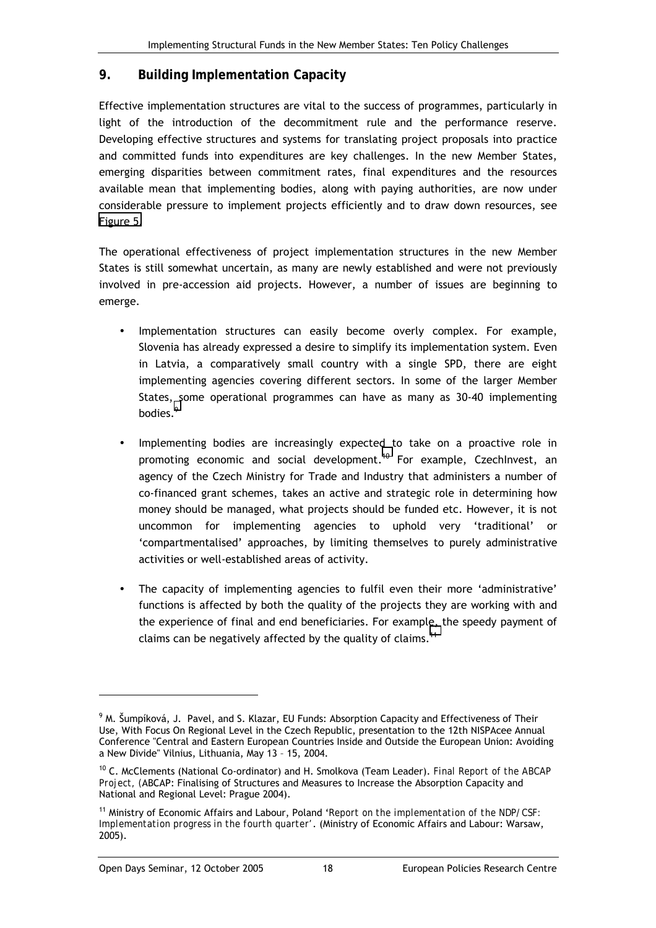### <span id="page-23-0"></span>**9. Building Implementation Capacity**

Effective implementation structures are vital to the success of programmes, particularly in light of the introduction of the decommitment rule and the performance reserve. Developing effective structures and systems for translating project proposals into practice and committed funds into expenditures are key challenges. In the new Member States, emerging disparities between commitment rates, final expenditures and the resources available mean that implementing bodies, along with paying authorities, are now under considerable pressure to implement projects efficiently and to draw down resources, see [Figure 5.](#page-21-0)

The operational effectiveness of project implementation structures in the new Member States is still somewhat uncertain, as many are newly established and were not previously involved in pre-accession aid projects. However, a number of issues are beginning to emerge.

- Implementation structures can easily become overly complex. For example, Slovenia has already expressed a desire to simplify its implementation system. Even in Latvia, a comparatively small country with a single SPD, there are eight implementing agencies covering different sectors. In some of the larger Member States, some operational programmes can have as many as 30-40 implementing bodies.<sup>9</sup>
- Implementing bodies are increasingly expected to take on a proactive role in promoting economic and social development.<sup>10</sup> For example, CzechInvest, an agency of the Czech Ministry for Trade and Industry that administers a number of co-financed grant schemes, takes an active and strategic role in determining how money should be managed, what projects should be funded etc. However, it is not uncommon for implementing agencies to uphold very 'traditional' or ëcompartmentalisedí approaches, by limiting themselves to purely administrative activities or well-established areas of activity.
- The capacity of implementing agencies to fulfil even their more 'administrative' functions is affected by both the quality of the projects they are working with and the experience of final and end beneficiaries. For example, the speedy payment of claims can be negatively affected by the quality of claims.<sup>11</sup>

 $^9$  M. Šumpíková, J. Pavel, and S. Klazar, EU Funds: Absorption Capacity and Effectiveness of Their Use, With Focus On Regional Level in the Czech Republic, presentation to the 12th NISPAcee Annual Conference "Central and Eastern European Countries Inside and Outside the European Union: Avoiding a New Divide" Vilnius, Lithuania, May 13 - 15, 2004.

<sup>10</sup> C. McClements (National Co-ordinator) and H. Smolkova (Team Leader). *Final Report of the ABCAP Project, (*ABCAP: Finalising of Structures and Measures to Increase the Absorption Capacity and National and Regional Level: Prague 2004).

<sup>11</sup> Ministry of Economic Affairs and Labour, Poland ë*Report on the implementation of the NDP/CSF: Implementation progress in the fourth quarter'*. (Ministry of Economic Affairs and Labour: Warsaw, 2005).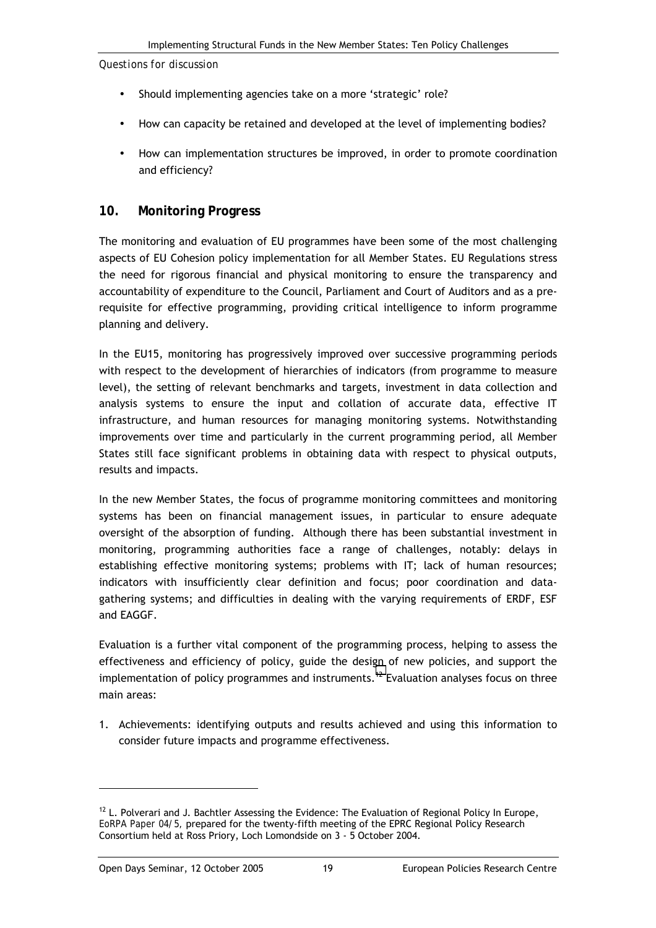<span id="page-24-0"></span>*Questions for discussion* 

- Should implementing agencies take on a more 'strategic' role?
- How can capacity be retained and developed at the level of implementing bodies?
- How can implementation structures be improved, in order to promote coordination and efficiency?

#### **10. Monitoring Progress**

The monitoring and evaluation of EU programmes have been some of the most challenging aspects of EU Cohesion policy implementation for all Member States. EU Regulations stress the need for rigorous financial and physical monitoring to ensure the transparency and accountability of expenditure to the Council, Parliament and Court of Auditors and as a prerequisite for effective programming, providing critical intelligence to inform programme planning and delivery.

In the EU15, monitoring has progressively improved over successive programming periods with respect to the development of hierarchies of indicators (from programme to measure level), the setting of relevant benchmarks and targets, investment in data collection and analysis systems to ensure the input and collation of accurate data, effective IT infrastructure, and human resources for managing monitoring systems. Notwithstanding improvements over time and particularly in the current programming period, all Member States still face significant problems in obtaining data with respect to physical outputs, results and impacts.

In the new Member States, the focus of programme monitoring committees and monitoring systems has been on financial management issues, in particular to ensure adequate oversight of the absorption of funding. Although there has been substantial investment in monitoring, programming authorities face a range of challenges, notably: delays in establishing effective monitoring systems; problems with IT; lack of human resources; indicators with insufficiently clear definition and focus; poor coordination and datagathering systems; and difficulties in dealing with the varying requirements of ERDF, ESF and EAGGF.

Evaluation is a further vital component of the programming process, helping to assess the effectiveness and efficiency of policy, guide the design of new policies, and support the implementation of policy programmes and instruments.<sup>12</sup> Evaluation analyses focus on three main areas:

1. Achievements: identifying outputs and results achieved and using this information to consider future impacts and programme effectiveness.

 $12$  L. Polverari and J. Bachtler Assessing the Evidence: The Evaluation of Regional Policy In Europe, *EoRPA Paper 04/5,* prepared for the twenty-fifth meeting of the EPRC Regional Policy Research Consortium held at Ross Priory, Loch Lomondside on 3 - 5 October 2004.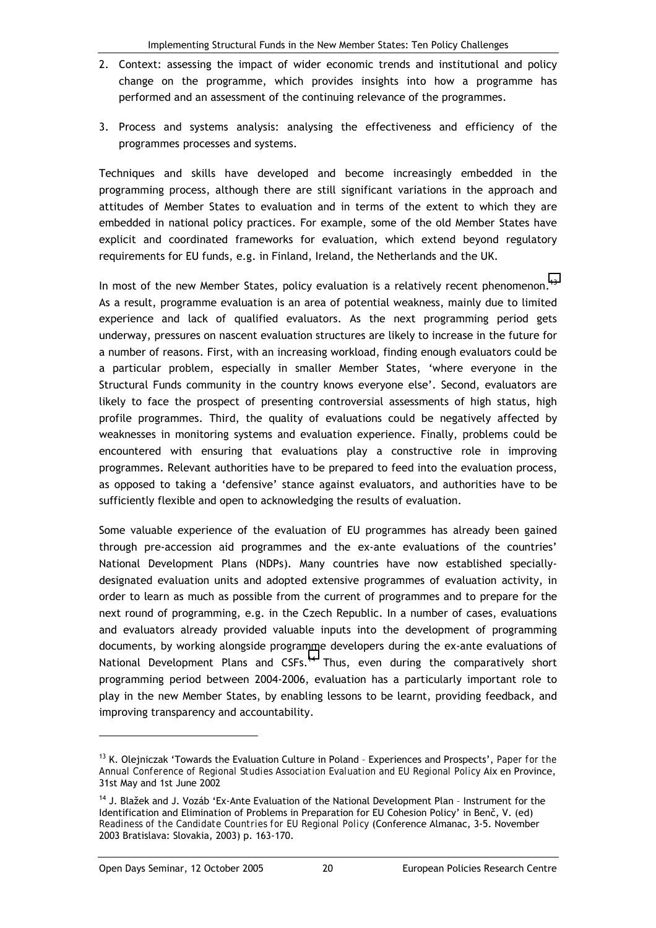- 2. Context: assessing the impact of wider economic trends and institutional and policy change on the programme, which provides insights into how a programme has performed and an assessment of the continuing relevance of the programmes.
- 3. Process and systems analysis: analysing the effectiveness and efficiency of the programmes processes and systems.

Techniques and skills have developed and become increasingly embedded in the programming process, although there are still significant variations in the approach and attitudes of Member States to evaluation and in terms of the extent to which they are embedded in national policy practices. For example, some of the old Member States have explicit and coordinated frameworks for evaluation, which extend beyond regulatory requirements for EU funds, e.g. in Finland, Ireland, the Netherlands and the UK.

In most of the new Member States, policy evaluation is a relatively recent phenomenon.<sup>13</sup> As a result, programme evaluation is an area of potential weakness, mainly due to limited experience and lack of qualified evaluators. As the next programming period gets underway, pressures on nascent evaluation structures are likely to increase in the future for a number of reasons. First, with an increasing workload, finding enough evaluators could be a particular problem, especially in smaller Member States, ëwhere everyone in the Structural Funds community in the country knows everyone else'. Second, evaluators are likely to face the prospect of presenting controversial assessments of high status, high profile programmes. Third, the quality of evaluations could be negatively affected by weaknesses in monitoring systems and evaluation experience. Finally, problems could be encountered with ensuring that evaluations play a constructive role in improving programmes. Relevant authorities have to be prepared to feed into the evaluation process, as opposed to taking a 'defensive' stance against evaluators, and authorities have to be sufficiently flexible and open to acknowledging the results of evaluation.

Some valuable experience of the evaluation of EU programmes has already been gained through pre-accession aid programmes and the ex-ante evaluations of the countries' National Development Plans (NDPs). Many countries have now established speciallydesignated evaluation units and adopted extensive programmes of evaluation activity, in order to learn as much as possible from the current of programmes and to prepare for the next round of programming, e.g. in the Czech Republic. In a number of cases, evaluations and evaluators already provided valuable inputs into the development of programming documents, by working alongside programme developers during the ex-ante evaluations of National Development Plans and CSFs.<sup>14</sup> Thus, even during the comparatively short programming period between 2004-2006, evaluation has a particularly important role to play in the new Member States, by enabling lessons to be learnt, providing feedback, and improving transparency and accountability.

l

<sup>&</sup>lt;sup>13</sup> K. Olejniczak 'Towards the Evaluation Culture in Poland - Experiences and Prospects', *Paper for the Annual Conference of Regional Studies Association Evaluation and EU Regional Policy* Aix en Province, 31st May and 1st June 2002

<sup>&</sup>lt;sup>14</sup> J. Blažek and J. Vozáb 'Ex-Ante Evaluation of the National Development Plan - Instrument for the Identification and Elimination of Problems in Preparation for EU Cohesion Policy' in Benč, V. (ed) *Readiness of the Candidate Countries for EU Regional Policy* (Conference Almanac, 3-5. November 2003 Bratislava: Slovakia, 2003) p. 163-170.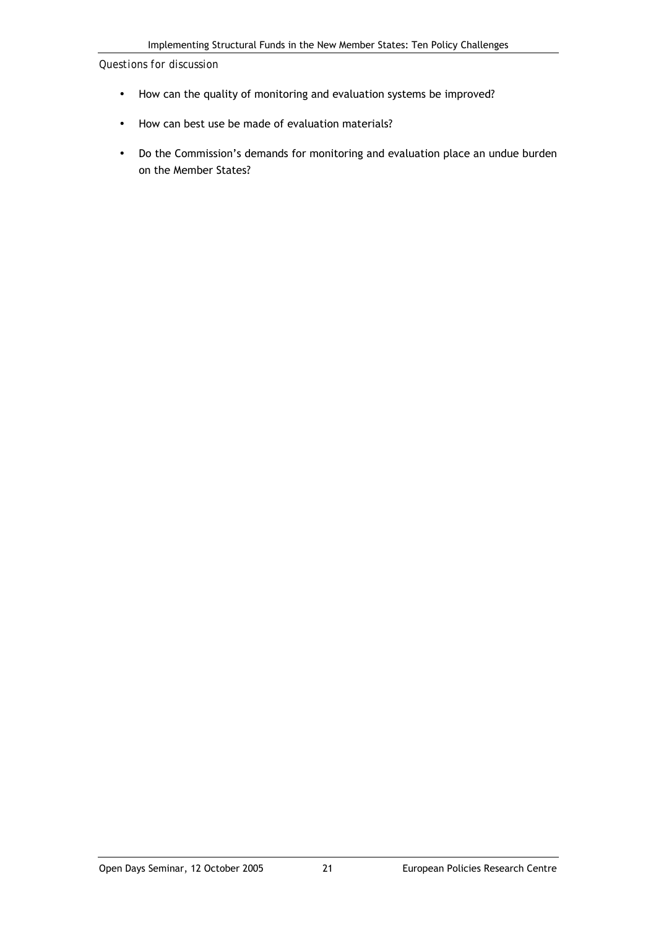- How can the quality of monitoring and evaluation systems be improved?
- How can best use be made of evaluation materials?
- Do the Commission's demands for monitoring and evaluation place an undue burden on the Member States?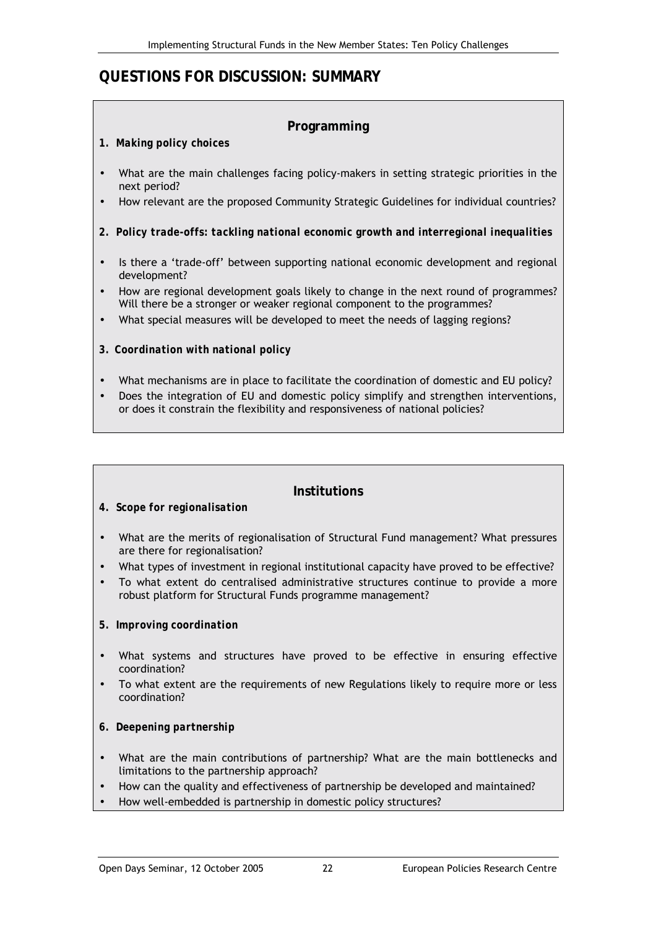## **QUESTIONS FOR DISCUSSION: SUMMARY**

### **Programming**

#### *1. Making policy choices*

- What are the main challenges facing policy-makers in setting strategic priorities in the next period?
- How relevant are the proposed Community Strategic Guidelines for individual countries?
- *2. Policy trade-offs: tackling national economic growth and interregional inequalities*
- Is there a 'trade-off' between supporting national economic development and regional development?
- How are regional development goals likely to change in the next round of programmes? Will there be a stronger or weaker regional component to the programmes?
- What special measures will be developed to meet the needs of lagging regions?
- *3. Coordination with national policy*
- What mechanisms are in place to facilitate the coordination of domestic and EU policy?
- Does the integration of EU and domestic policy simplify and strengthen interventions, or does it constrain the flexibility and responsiveness of national policies?

#### **Institutions**

- *4. Scope for regionalisation*
- What are the merits of regionalisation of Structural Fund management? What pressures are there for regionalisation?
- What types of investment in regional institutional capacity have proved to be effective?
- To what extent do centralised administrative structures continue to provide a more robust platform for Structural Funds programme management?
- *5. Improving coordination*
- What systems and structures have proved to be effective in ensuring effective coordination?
- To what extent are the requirements of new Regulations likely to require more or less coordination?
- *6. Deepening partnership*
- What are the main contributions of partnership? What are the main bottlenecks and limitations to the partnership approach?
- How can the quality and effectiveness of partnership be developed and maintained?
- How well-embedded is partnership in domestic policy structures?